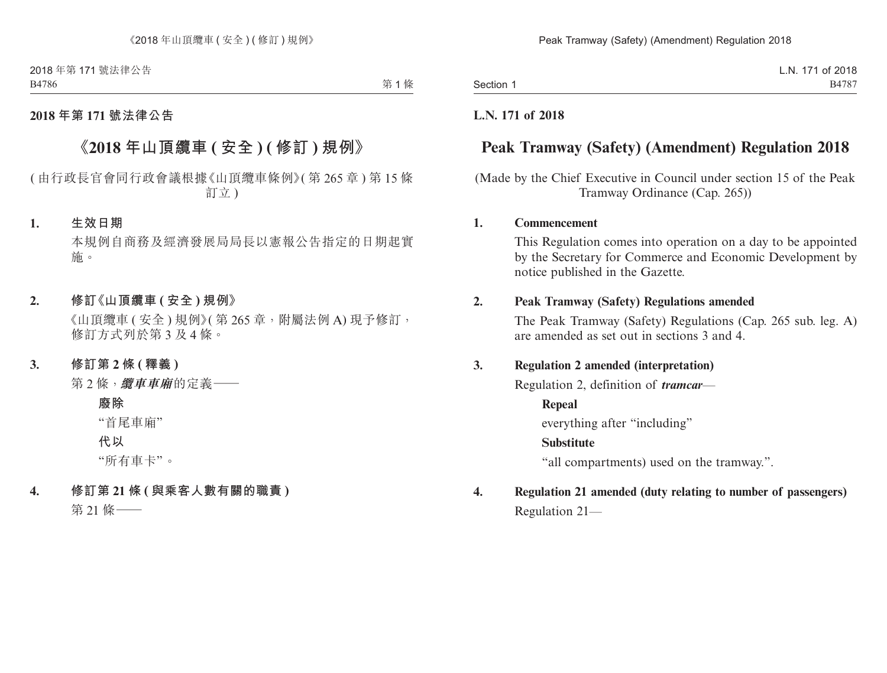2018 年第 171 號法律公告 B4786

第1條

## **2018 年第 171 號法律公告**

# **《2018 年山頂纜車 ( 安全 ) ( 修訂 ) 規例》**

# ( 由行政長官會同行政會議根據《山頂纜車條例》( 第 265 章 ) 第 15 條 訂立 )

### **1. 生效日期**

本規例自商務及經濟發展局局長以憲報公告指定的日期起實 施。

### **2. 修訂《山頂纜車 ( 安全 ) 規例》**

《山頂纜車 ( 安全 ) 規例》( 第 265 章, 附屬法例 A) 現予修訂, 修訂方式列於第 3 及 4 條。

#### **3. 修訂第 2 條 ( 釋義 )**

第 2 條,**纜車車廂**的定義——

#### **廢除**

"首尾車廂"

**代以**

"所有車卡"。

#### **4. 修訂第 21 條 ( 與乘客人數有關的職責 )**

第 21 條——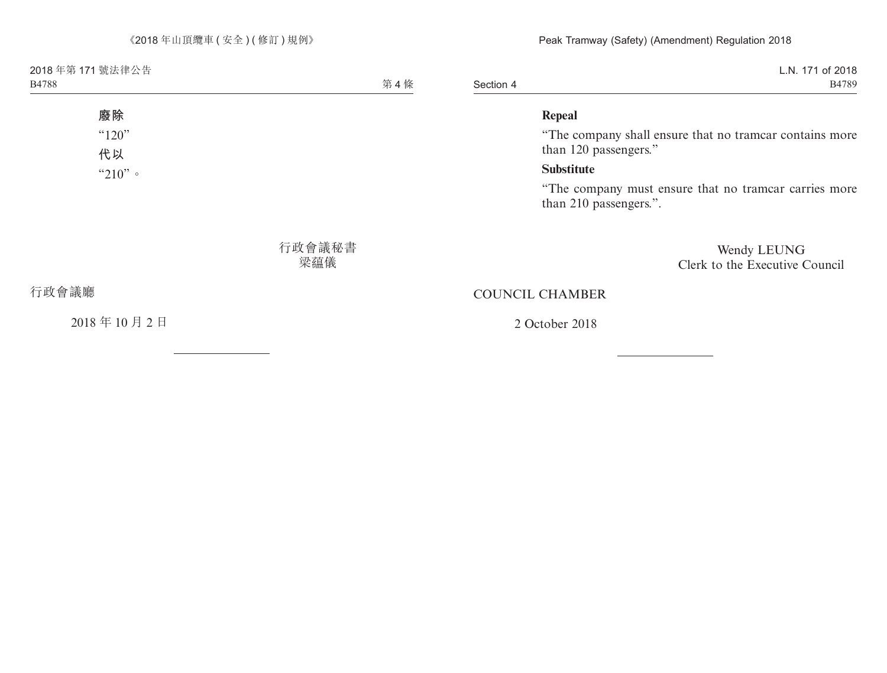2018 年第 171 號法律公告 B4788

第4條

# **廢除**  $"120"$

**代以** "210"。

> 行政會議秘書 梁蕴儀

行政會議廳

2018 年 10 月 2 日